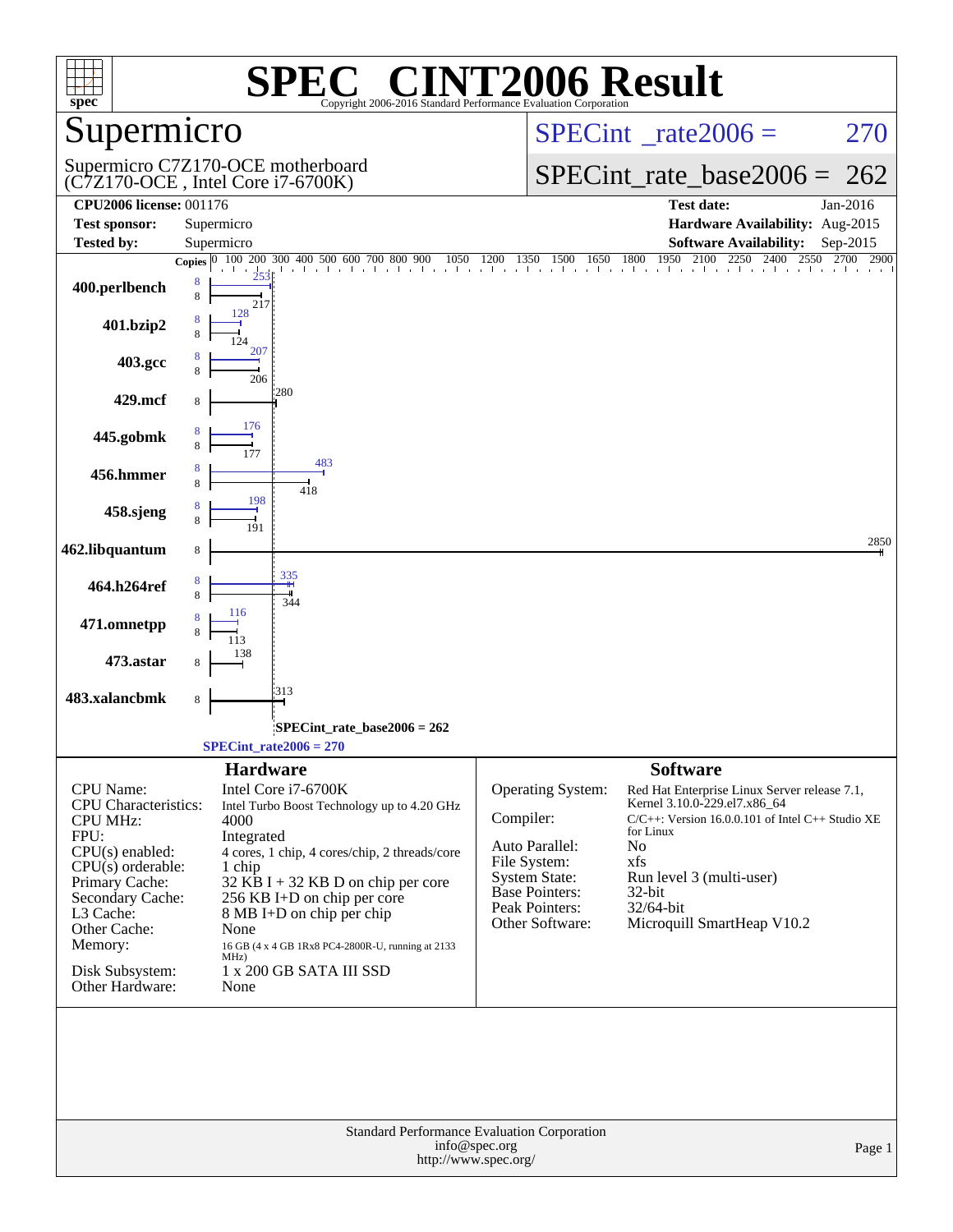| spec <sup>®</sup>                                                                                                                                                                                                                          | SPE<br>Copyright 2006-2016 Standard Performance Evaluation Corporation                                                                                                                                                                                                                                                                                                             | <b>C® CINT2006 Result</b>                                                                                                                                                                                                                                                                                                                                                                                                        |
|--------------------------------------------------------------------------------------------------------------------------------------------------------------------------------------------------------------------------------------------|------------------------------------------------------------------------------------------------------------------------------------------------------------------------------------------------------------------------------------------------------------------------------------------------------------------------------------------------------------------------------------|----------------------------------------------------------------------------------------------------------------------------------------------------------------------------------------------------------------------------------------------------------------------------------------------------------------------------------------------------------------------------------------------------------------------------------|
| Supermicro                                                                                                                                                                                                                                 |                                                                                                                                                                                                                                                                                                                                                                                    | $SPECint^{\circ}$ rate $2006 =$<br>270                                                                                                                                                                                                                                                                                                                                                                                           |
|                                                                                                                                                                                                                                            | Supermicro C7Z170-OCE motherboard<br>(C7Z170-OCE, Intel Core i7-6700K)                                                                                                                                                                                                                                                                                                             | $SPECint_rate\_base2006 =$<br>262                                                                                                                                                                                                                                                                                                                                                                                                |
| <b>CPU2006 license: 001176</b>                                                                                                                                                                                                             |                                                                                                                                                                                                                                                                                                                                                                                    | <b>Test date:</b><br>Jan-2016                                                                                                                                                                                                                                                                                                                                                                                                    |
| <b>Test sponsor:</b><br><b>Tested by:</b>                                                                                                                                                                                                  | Supermicro<br>Supermicro                                                                                                                                                                                                                                                                                                                                                           | Hardware Availability: Aug-2015<br><b>Software Availability:</b><br>Sep-2015                                                                                                                                                                                                                                                                                                                                                     |
|                                                                                                                                                                                                                                            | 300 400 500 600 700 800 900<br>200<br>Copies $ 0 $                                                                                                                                                                                                                                                                                                                                 | 1950<br>2100<br>$0$ 400 500 600 700 800 900 1050 1200 1350 1500 1650 1800 1950 2100 2250 2400 2550<br>2700<br>2900                                                                                                                                                                                                                                                                                                               |
| 400.perlbench                                                                                                                                                                                                                              | 8<br>8<br>217                                                                                                                                                                                                                                                                                                                                                                      |                                                                                                                                                                                                                                                                                                                                                                                                                                  |
| 401.bzip2                                                                                                                                                                                                                                  | 128                                                                                                                                                                                                                                                                                                                                                                                |                                                                                                                                                                                                                                                                                                                                                                                                                                  |
| 403.gcc                                                                                                                                                                                                                                    | 207<br>206                                                                                                                                                                                                                                                                                                                                                                         |                                                                                                                                                                                                                                                                                                                                                                                                                                  |
| 429.mcf                                                                                                                                                                                                                                    | 280                                                                                                                                                                                                                                                                                                                                                                                |                                                                                                                                                                                                                                                                                                                                                                                                                                  |
| 445.gobmk                                                                                                                                                                                                                                  | 176<br>177                                                                                                                                                                                                                                                                                                                                                                         |                                                                                                                                                                                                                                                                                                                                                                                                                                  |
| 456.hmmer                                                                                                                                                                                                                                  | 483<br>418                                                                                                                                                                                                                                                                                                                                                                         |                                                                                                                                                                                                                                                                                                                                                                                                                                  |
| 458.sjeng                                                                                                                                                                                                                                  | 198                                                                                                                                                                                                                                                                                                                                                                                |                                                                                                                                                                                                                                                                                                                                                                                                                                  |
| 462.libquantum                                                                                                                                                                                                                             | 8                                                                                                                                                                                                                                                                                                                                                                                  | 2850                                                                                                                                                                                                                                                                                                                                                                                                                             |
| 464.h264ref                                                                                                                                                                                                                                | 335<br>344                                                                                                                                                                                                                                                                                                                                                                         |                                                                                                                                                                                                                                                                                                                                                                                                                                  |
| 471.omnetpp                                                                                                                                                                                                                                | 116<br>113                                                                                                                                                                                                                                                                                                                                                                         |                                                                                                                                                                                                                                                                                                                                                                                                                                  |
| 473.astar                                                                                                                                                                                                                                  | 138                                                                                                                                                                                                                                                                                                                                                                                |                                                                                                                                                                                                                                                                                                                                                                                                                                  |
| 483.xalancbmk                                                                                                                                                                                                                              | 313<br>8                                                                                                                                                                                                                                                                                                                                                                           |                                                                                                                                                                                                                                                                                                                                                                                                                                  |
|                                                                                                                                                                                                                                            | SPECint_rate_base2006 = 262                                                                                                                                                                                                                                                                                                                                                        |                                                                                                                                                                                                                                                                                                                                                                                                                                  |
|                                                                                                                                                                                                                                            | $SPECint_rate2006 = 270$                                                                                                                                                                                                                                                                                                                                                           |                                                                                                                                                                                                                                                                                                                                                                                                                                  |
| <b>CPU</b> Name:<br><b>CPU</b> Characteristics:<br><b>CPU MHz:</b><br>FPU:<br>$CPU(s)$ enabled:<br>$CPU(s)$ orderable:<br>Primary Cache:<br>Secondary Cache:<br>L3 Cache:<br>Other Cache:<br>Memory:<br>Disk Subsystem:<br>Other Hardware: | <b>Hardware</b><br>Intel Core i7-6700K<br>Intel Turbo Boost Technology up to 4.20 GHz<br>4000<br>Integrated<br>4 cores, 1 chip, 4 cores/chip, 2 threads/core<br>1 chip<br>$32$ KB I + 32 KB D on chip per core<br>256 KB I+D on chip per core<br>8 MB I+D on chip per chip<br>None<br>16 GB (4 x 4 GB 1Rx8 PC4-2800R-U, running at 2133<br>MHz)<br>1 x 200 GB SATA III SSD<br>None | <b>Software</b><br><b>Operating System:</b><br>Red Hat Enterprise Linux Server release 7.1,<br>Kernel 3.10.0-229.el7.x86_64<br>Compiler:<br>$C/C++$ : Version 16.0.0.101 of Intel $C++$ Studio XE<br>for Linux<br>Auto Parallel:<br>No<br>File System:<br>xfs<br><b>System State:</b><br>Run level 3 (multi-user)<br>Base Pointers:<br>$32$ -bit<br>Peak Pointers:<br>32/64-bit<br>Other Software:<br>Microquill SmartHeap V10.2 |
|                                                                                                                                                                                                                                            | Standard Performance Evaluation Corporation<br>info@spec.org<br>http://www.spec.org/                                                                                                                                                                                                                                                                                               | Page 1                                                                                                                                                                                                                                                                                                                                                                                                                           |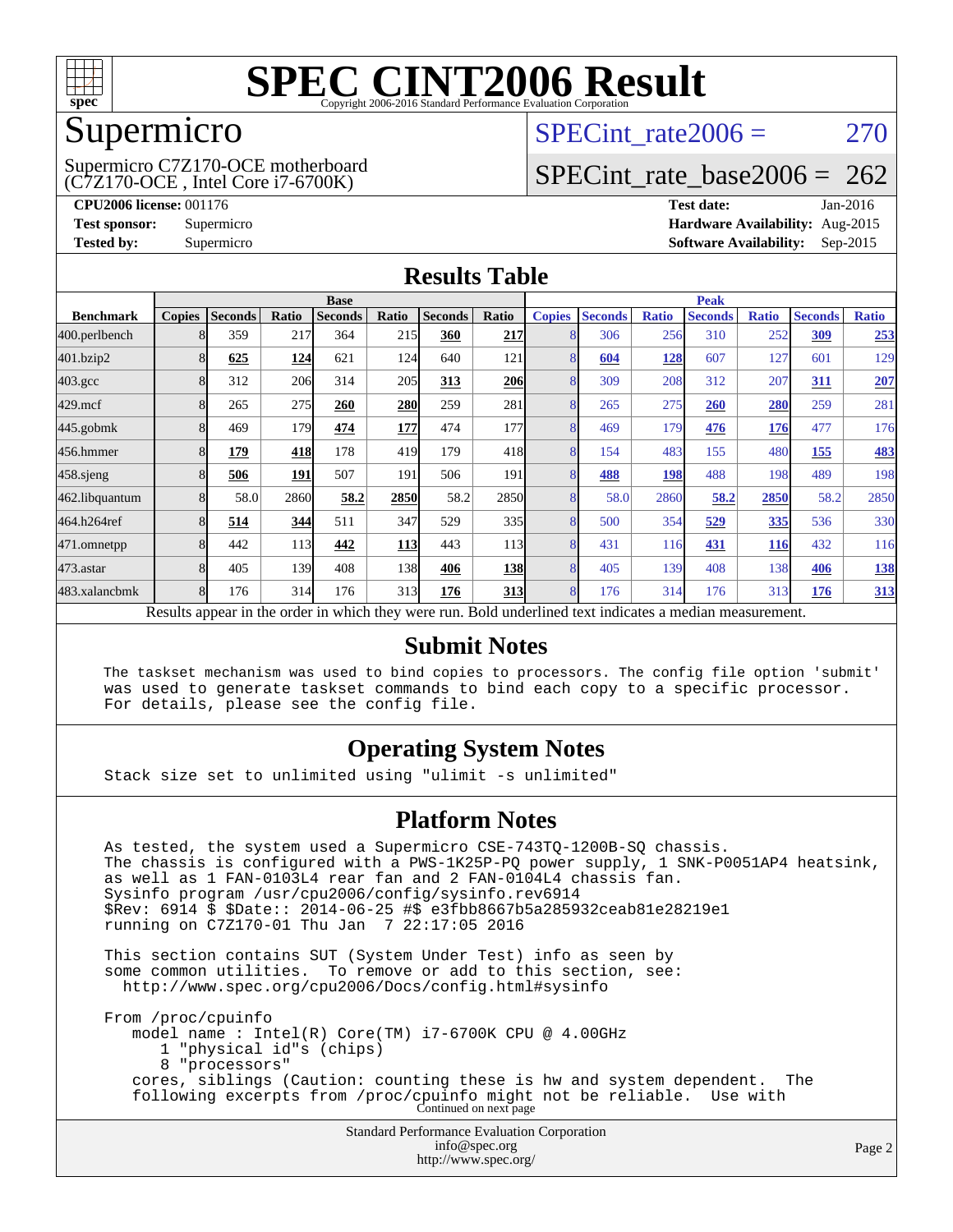

### Supermicro

(C7Z170-OCE , Intel Core i7-6700K) Supermicro C7Z170-OCE motherboard SPECint rate $2006 = 270$ 

# [SPECint\\_rate\\_base2006 =](http://www.spec.org/auto/cpu2006/Docs/result-fields.html#SPECintratebase2006)  $262$

**[CPU2006 license:](http://www.spec.org/auto/cpu2006/Docs/result-fields.html#CPU2006license)** 001176 **[Test date:](http://www.spec.org/auto/cpu2006/Docs/result-fields.html#Testdate)** Jan-2016 **[Test sponsor:](http://www.spec.org/auto/cpu2006/Docs/result-fields.html#Testsponsor)** Supermicro **[Hardware Availability:](http://www.spec.org/auto/cpu2006/Docs/result-fields.html#HardwareAvailability)** Aug-2015 **[Tested by:](http://www.spec.org/auto/cpu2006/Docs/result-fields.html#Testedby)** Supermicro **Supermicro [Software Availability:](http://www.spec.org/auto/cpu2006/Docs/result-fields.html#SoftwareAvailability)** Sep-2015

### **[Results Table](http://www.spec.org/auto/cpu2006/Docs/result-fields.html#ResultsTable)**

|                                                                                                          | <b>Base</b>   |                |       |                |            | <b>Peak</b>    |                  |                |                |              |                |              |                |              |
|----------------------------------------------------------------------------------------------------------|---------------|----------------|-------|----------------|------------|----------------|------------------|----------------|----------------|--------------|----------------|--------------|----------------|--------------|
| <b>Benchmark</b>                                                                                         | <b>Copies</b> | <b>Seconds</b> | Ratio | <b>Seconds</b> | Ratio      | <b>Seconds</b> | Ratio            | <b>Copies</b>  | <b>Seconds</b> | <b>Ratio</b> | <b>Seconds</b> | <b>Ratio</b> | <b>Seconds</b> | <b>Ratio</b> |
| 400.perlbench                                                                                            |               | 359            | 217   | 364            | 215        | 360            | 217              |                | 306            | 256          | 310            | 252          | 309            | 253          |
| 401.bzip2                                                                                                |               | 625            | 124   | 621            | 124        | 640            | 121              |                | 604            | <u>128</u>   | 607            | 127          | 601            | 129          |
| $403.\mathrm{gcc}$                                                                                       |               | 312            | 206   | 314            | 205        | 313            | <b>206</b>       |                | 309            | 208          | 312            | 207          | <u>311</u>     | 207          |
| $429$ .mcf                                                                                               |               | 265            | 275   | 260            | <b>280</b> | 259            | 281              |                | 265            | 275          | <b>260</b>     | 280          | 259            | 281          |
| $445$ .gobmk                                                                                             |               | 469            | 179   | 474            | 177        | 474            | 177              | 8              | 469            | 179          | 476            | 176          | 477            | 176          |
| 456.hmmer                                                                                                |               | 179            | 418   | 178            | 419        | 179            | 418              | 8              | 154            | 483          | 155            | 480          | 155            | <b>483</b>   |
| $458$ .sjeng                                                                                             |               | 506            | 191   | 507            | 191        | 506            | 191              |                | 488            | 198          | 488            | 198          | 489            | 198          |
| 462.libquantum                                                                                           |               | 58.0           | 2860  | 58.2           | 2850       | 58.2           | 2850             |                | 58.0           | 2860         | 58.2           | 2850         | 58.2           | 2850         |
| 464.h264ref                                                                                              |               | 514            | 344   | 511            | 347        | 529            | 335              | 8              | 500            | 354          | 529            | 335          | 536            | 330          |
| 471.omnetpp                                                                                              |               | 442            | 113   | 442            | <b>113</b> | 443            | 113 <sup> </sup> |                | 431            | 116          | 431            | 116          | 432            | 116          |
| $473$ . astar                                                                                            |               | 405            | 139   | 408            | 138        | 406            | <b>138</b>       | $\overline{8}$ | 405            | 139          | 408            | 138          | 406            | <b>138</b>   |
| 483.xalancbmk                                                                                            |               | 176            | 314   | 176            | 313        | 176            | 313              | 8              | 176            | 314          | 176            | 313          | 176            | 313          |
| Results appear in the order in which they were run. Bold underlined text indicates a median measurement. |               |                |       |                |            |                |                  |                |                |              |                |              |                |              |

#### **[Submit Notes](http://www.spec.org/auto/cpu2006/Docs/result-fields.html#SubmitNotes)**

 The taskset mechanism was used to bind copies to processors. The config file option 'submit' was used to generate taskset commands to bind each copy to a specific processor. For details, please see the config file.

### **[Operating System Notes](http://www.spec.org/auto/cpu2006/Docs/result-fields.html#OperatingSystemNotes)**

Stack size set to unlimited using "ulimit -s unlimited"

#### **[Platform Notes](http://www.spec.org/auto/cpu2006/Docs/result-fields.html#PlatformNotes)**

 As tested, the system used a Supermicro CSE-743TQ-1200B-SQ chassis. The chassis is configured with a PWS-1K25P-PQ power supply, 1 SNK-P0051AP4 heatsink, as well as 1 FAN-0103L4 rear fan and 2 FAN-0104L4 chassis fan. Sysinfo program /usr/cpu2006/config/sysinfo.rev6914 \$Rev: 6914 \$ \$Date:: 2014-06-25 #\$ e3fbb8667b5a285932ceab81e28219e1 running on C7Z170-01 Thu Jan 7 22:17:05 2016 This section contains SUT (System Under Test) info as seen by some common utilities. To remove or add to this section, see: <http://www.spec.org/cpu2006/Docs/config.html#sysinfo>

 From /proc/cpuinfo model name : Intel(R) Core(TM) i7-6700K CPU @ 4.00GHz 1 "physical id"s (chips) 8 "processors" cores, siblings (Caution: counting these is hw and system dependent. The following excerpts from /proc/cpuinfo might not be reliable. Use with Continued on next page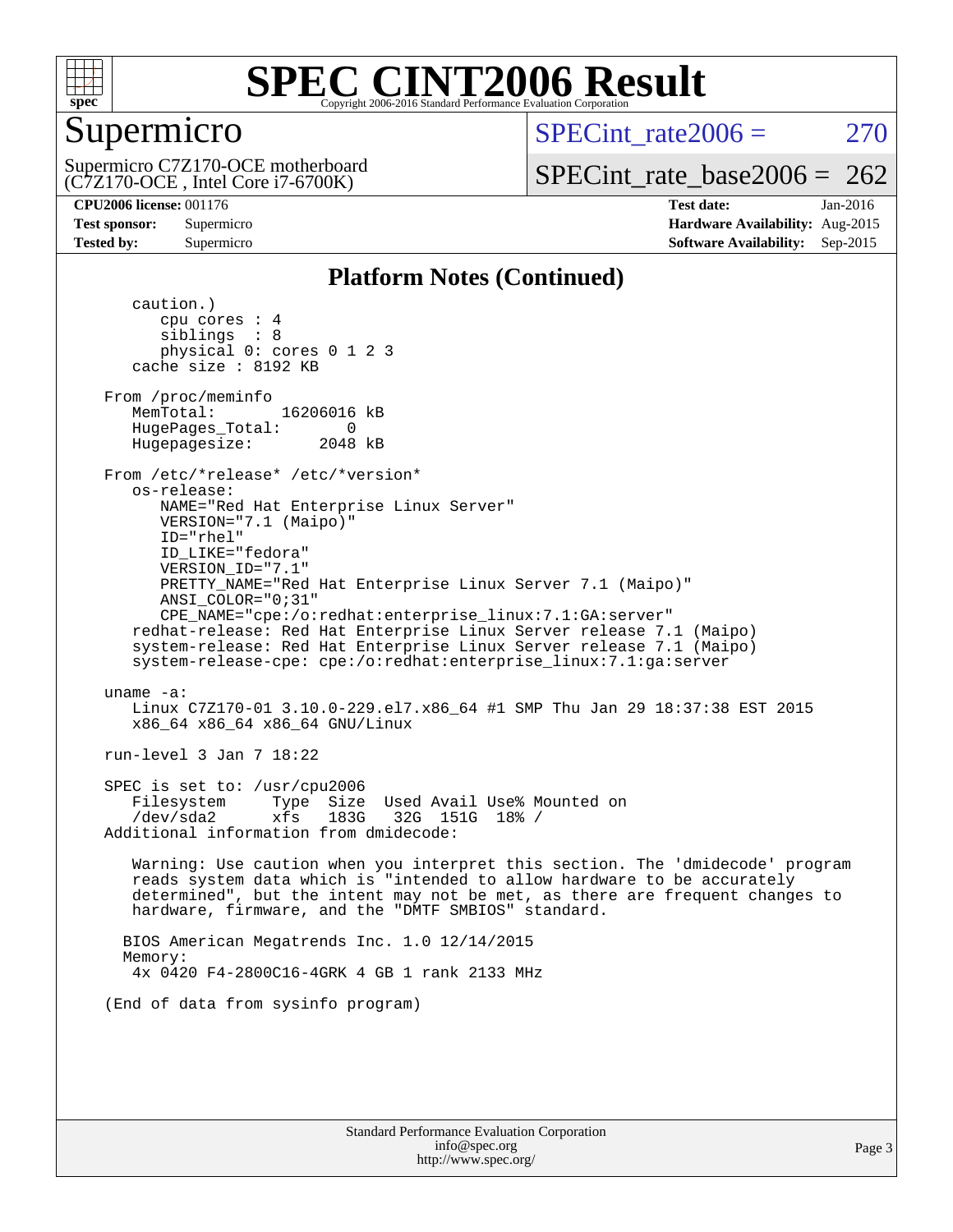

# Supermicro

 $SPECint rate2006 = 270$ 

(C7Z170-OCE , Intel Core i7-6700K) Supermicro C7Z170-OCE motherboard

[SPECint\\_rate\\_base2006 =](http://www.spec.org/auto/cpu2006/Docs/result-fields.html#SPECintratebase2006)  $262$ 

**[CPU2006 license:](http://www.spec.org/auto/cpu2006/Docs/result-fields.html#CPU2006license)** 001176 **[Test date:](http://www.spec.org/auto/cpu2006/Docs/result-fields.html#Testdate)** Jan-2016 **[Test sponsor:](http://www.spec.org/auto/cpu2006/Docs/result-fields.html#Testsponsor)** Supermicro **[Hardware Availability:](http://www.spec.org/auto/cpu2006/Docs/result-fields.html#HardwareAvailability)** Aug-2015 **[Tested by:](http://www.spec.org/auto/cpu2006/Docs/result-fields.html#Testedby)** Supermicro **Supermicro [Software Availability:](http://www.spec.org/auto/cpu2006/Docs/result-fields.html#SoftwareAvailability)** Sep-2015

### **[Platform Notes \(Continued\)](http://www.spec.org/auto/cpu2006/Docs/result-fields.html#PlatformNotes)**

 caution.) cpu cores : 4 siblings : 8 physical 0: cores 0 1 2 3 cache size : 8192 KB From /proc/meminfo MemTotal: 16206016 kB HugePages\_Total: 0<br>Hugepagesize: 2048 kB Hugepagesize: From /etc/\*release\* /etc/\*version\* os-release: NAME="Red Hat Enterprise Linux Server" VERSION="7.1 (Maipo)" ID="rhel" ID\_LIKE="fedora" VERSION\_ID="7.1" PRETTY\_NAME="Red Hat Enterprise Linux Server 7.1 (Maipo)" ANSI\_COLOR="0;31" CPE\_NAME="cpe:/o:redhat:enterprise\_linux:7.1:GA:server" redhat-release: Red Hat Enterprise Linux Server release 7.1 (Maipo) system-release: Red Hat Enterprise Linux Server release 7.1 (Maipo) system-release-cpe: cpe:/o:redhat:enterprise\_linux:7.1:ga:server uname -a: Linux C7Z170-01 3.10.0-229.el7.x86\_64 #1 SMP Thu Jan 29 18:37:38 EST 2015 x86\_64 x86\_64 x86\_64 GNU/Linux run-level 3 Jan 7 18:22 SPEC is set to: /usr/cpu2006 Filesystem Type Size Used Avail Use% Mounted on /dev/sda2 xfs 183G 32G 151G 18% / Additional information from dmidecode: Warning: Use caution when you interpret this section. The 'dmidecode' program reads system data which is "intended to allow hardware to be accurately determined", but the intent may not be met, as there are frequent changes to hardware, firmware, and the "DMTF SMBIOS" standard. BIOS American Megatrends Inc. 1.0 12/14/2015 Memory: 4x 0420 F4-2800C16-4GRK 4 GB 1 rank 2133 MHz (End of data from sysinfo program)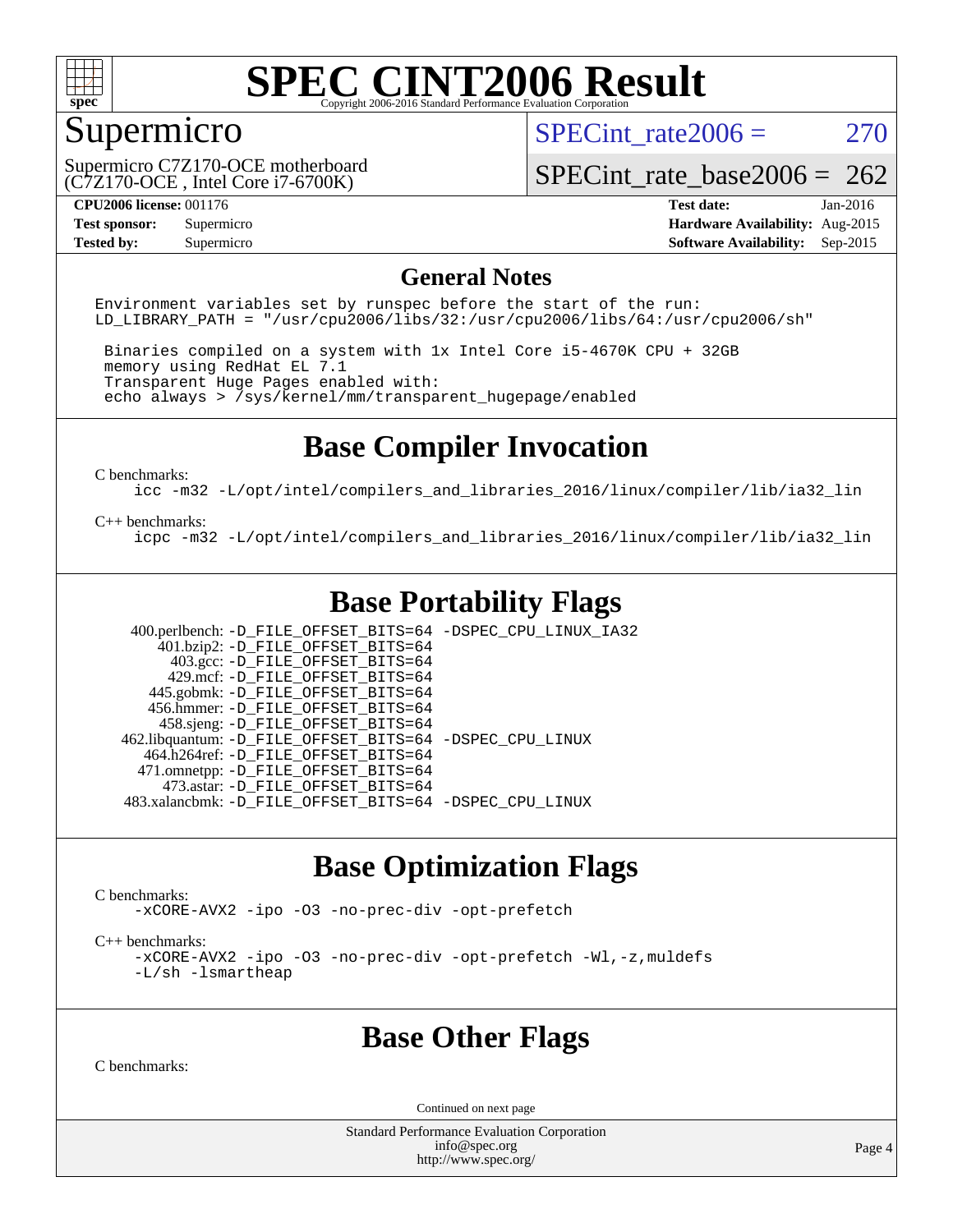

# Supermicro

SPECint rate $2006 = 270$ 

(C7Z170-OCE , Intel Core i7-6700K) Supermicro C7Z170-OCE motherboard

[SPECint\\_rate\\_base2006 =](http://www.spec.org/auto/cpu2006/Docs/result-fields.html#SPECintratebase2006)  $262$ 

**[CPU2006 license:](http://www.spec.org/auto/cpu2006/Docs/result-fields.html#CPU2006license)** 001176 **[Test date:](http://www.spec.org/auto/cpu2006/Docs/result-fields.html#Testdate)** Jan-2016 **[Test sponsor:](http://www.spec.org/auto/cpu2006/Docs/result-fields.html#Testsponsor)** Supermicro **[Hardware Availability:](http://www.spec.org/auto/cpu2006/Docs/result-fields.html#HardwareAvailability)** Aug-2015 **[Tested by:](http://www.spec.org/auto/cpu2006/Docs/result-fields.html#Testedby)** Supermicro **Supermicro [Software Availability:](http://www.spec.org/auto/cpu2006/Docs/result-fields.html#SoftwareAvailability)** Sep-2015

#### **[General Notes](http://www.spec.org/auto/cpu2006/Docs/result-fields.html#GeneralNotes)**

Environment variables set by runspec before the start of the run: LD LIBRARY PATH = "/usr/cpu2006/libs/32:/usr/cpu2006/libs/64:/usr/cpu2006/sh"

 Binaries compiled on a system with 1x Intel Core i5-4670K CPU + 32GB memory using RedHat EL 7.1 Transparent Huge Pages enabled with: echo always > /sys/kernel/mm/transparent\_hugepage/enabled

# **[Base Compiler Invocation](http://www.spec.org/auto/cpu2006/Docs/result-fields.html#BaseCompilerInvocation)**

[C benchmarks](http://www.spec.org/auto/cpu2006/Docs/result-fields.html#Cbenchmarks):

[icc -m32 -L/opt/intel/compilers\\_and\\_libraries\\_2016/linux/compiler/lib/ia32\\_lin](http://www.spec.org/cpu2006/results/res2016q1/cpu2006-20160108-38635.flags.html#user_CCbase_intel_icc_e10256ba5924b668798078a321b0cb3f)

#### [C++ benchmarks:](http://www.spec.org/auto/cpu2006/Docs/result-fields.html#CXXbenchmarks)

[icpc -m32 -L/opt/intel/compilers\\_and\\_libraries\\_2016/linux/compiler/lib/ia32\\_lin](http://www.spec.org/cpu2006/results/res2016q1/cpu2006-20160108-38635.flags.html#user_CXXbase_intel_icpc_b4f50a394bdb4597aa5879c16bc3f5c5)

# **[Base Portability Flags](http://www.spec.org/auto/cpu2006/Docs/result-fields.html#BasePortabilityFlags)**

 400.perlbench: [-D\\_FILE\\_OFFSET\\_BITS=64](http://www.spec.org/cpu2006/results/res2016q1/cpu2006-20160108-38635.flags.html#user_basePORTABILITY400_perlbench_file_offset_bits_64_438cf9856305ebd76870a2c6dc2689ab) [-DSPEC\\_CPU\\_LINUX\\_IA32](http://www.spec.org/cpu2006/results/res2016q1/cpu2006-20160108-38635.flags.html#b400.perlbench_baseCPORTABILITY_DSPEC_CPU_LINUX_IA32)  $401.bzip2: -D$ FILE\_OFFSET\_BITS=64 403.gcc: [-D\\_FILE\\_OFFSET\\_BITS=64](http://www.spec.org/cpu2006/results/res2016q1/cpu2006-20160108-38635.flags.html#user_basePORTABILITY403_gcc_file_offset_bits_64_438cf9856305ebd76870a2c6dc2689ab) 429.mcf: [-D\\_FILE\\_OFFSET\\_BITS=64](http://www.spec.org/cpu2006/results/res2016q1/cpu2006-20160108-38635.flags.html#user_basePORTABILITY429_mcf_file_offset_bits_64_438cf9856305ebd76870a2c6dc2689ab) 445.gobmk: [-D\\_FILE\\_OFFSET\\_BITS=64](http://www.spec.org/cpu2006/results/res2016q1/cpu2006-20160108-38635.flags.html#user_basePORTABILITY445_gobmk_file_offset_bits_64_438cf9856305ebd76870a2c6dc2689ab) 456.hmmer: [-D\\_FILE\\_OFFSET\\_BITS=64](http://www.spec.org/cpu2006/results/res2016q1/cpu2006-20160108-38635.flags.html#user_basePORTABILITY456_hmmer_file_offset_bits_64_438cf9856305ebd76870a2c6dc2689ab) 458.sjeng: [-D\\_FILE\\_OFFSET\\_BITS=64](http://www.spec.org/cpu2006/results/res2016q1/cpu2006-20160108-38635.flags.html#user_basePORTABILITY458_sjeng_file_offset_bits_64_438cf9856305ebd76870a2c6dc2689ab) 462.libquantum: [-D\\_FILE\\_OFFSET\\_BITS=64](http://www.spec.org/cpu2006/results/res2016q1/cpu2006-20160108-38635.flags.html#user_basePORTABILITY462_libquantum_file_offset_bits_64_438cf9856305ebd76870a2c6dc2689ab) [-DSPEC\\_CPU\\_LINUX](http://www.spec.org/cpu2006/results/res2016q1/cpu2006-20160108-38635.flags.html#b462.libquantum_baseCPORTABILITY_DSPEC_CPU_LINUX) 464.h264ref: [-D\\_FILE\\_OFFSET\\_BITS=64](http://www.spec.org/cpu2006/results/res2016q1/cpu2006-20160108-38635.flags.html#user_basePORTABILITY464_h264ref_file_offset_bits_64_438cf9856305ebd76870a2c6dc2689ab) 471.omnetpp: [-D\\_FILE\\_OFFSET\\_BITS=64](http://www.spec.org/cpu2006/results/res2016q1/cpu2006-20160108-38635.flags.html#user_basePORTABILITY471_omnetpp_file_offset_bits_64_438cf9856305ebd76870a2c6dc2689ab) 473.astar: [-D\\_FILE\\_OFFSET\\_BITS=64](http://www.spec.org/cpu2006/results/res2016q1/cpu2006-20160108-38635.flags.html#user_basePORTABILITY473_astar_file_offset_bits_64_438cf9856305ebd76870a2c6dc2689ab) 483.xalancbmk: [-D\\_FILE\\_OFFSET\\_BITS=64](http://www.spec.org/cpu2006/results/res2016q1/cpu2006-20160108-38635.flags.html#user_basePORTABILITY483_xalancbmk_file_offset_bits_64_438cf9856305ebd76870a2c6dc2689ab) [-DSPEC\\_CPU\\_LINUX](http://www.spec.org/cpu2006/results/res2016q1/cpu2006-20160108-38635.flags.html#b483.xalancbmk_baseCXXPORTABILITY_DSPEC_CPU_LINUX)

# **[Base Optimization Flags](http://www.spec.org/auto/cpu2006/Docs/result-fields.html#BaseOptimizationFlags)**

[C benchmarks](http://www.spec.org/auto/cpu2006/Docs/result-fields.html#Cbenchmarks):

[-xCORE-AVX2](http://www.spec.org/cpu2006/results/res2016q1/cpu2006-20160108-38635.flags.html#user_CCbase_f-xAVX2_5f5fc0cbe2c9f62c816d3e45806c70d7) [-ipo](http://www.spec.org/cpu2006/results/res2016q1/cpu2006-20160108-38635.flags.html#user_CCbase_f-ipo) [-O3](http://www.spec.org/cpu2006/results/res2016q1/cpu2006-20160108-38635.flags.html#user_CCbase_f-O3) [-no-prec-div](http://www.spec.org/cpu2006/results/res2016q1/cpu2006-20160108-38635.flags.html#user_CCbase_f-no-prec-div) [-opt-prefetch](http://www.spec.org/cpu2006/results/res2016q1/cpu2006-20160108-38635.flags.html#user_CCbase_f-opt-prefetch)

[C++ benchmarks:](http://www.spec.org/auto/cpu2006/Docs/result-fields.html#CXXbenchmarks)

[-xCORE-AVX2](http://www.spec.org/cpu2006/results/res2016q1/cpu2006-20160108-38635.flags.html#user_CXXbase_f-xAVX2_5f5fc0cbe2c9f62c816d3e45806c70d7) [-ipo](http://www.spec.org/cpu2006/results/res2016q1/cpu2006-20160108-38635.flags.html#user_CXXbase_f-ipo) [-O3](http://www.spec.org/cpu2006/results/res2016q1/cpu2006-20160108-38635.flags.html#user_CXXbase_f-O3) [-no-prec-div](http://www.spec.org/cpu2006/results/res2016q1/cpu2006-20160108-38635.flags.html#user_CXXbase_f-no-prec-div) [-opt-prefetch](http://www.spec.org/cpu2006/results/res2016q1/cpu2006-20160108-38635.flags.html#user_CXXbase_f-opt-prefetch) [-Wl,-z,muldefs](http://www.spec.org/cpu2006/results/res2016q1/cpu2006-20160108-38635.flags.html#user_CXXbase_link_force_multiple1_74079c344b956b9658436fd1b6dd3a8a) [-L/sh -lsmartheap](http://www.spec.org/cpu2006/results/res2016q1/cpu2006-20160108-38635.flags.html#user_CXXbase_SmartHeap_32f6c82aa1ed9c52345d30cf6e4a0499)

### **[Base Other Flags](http://www.spec.org/auto/cpu2006/Docs/result-fields.html#BaseOtherFlags)**

[C benchmarks](http://www.spec.org/auto/cpu2006/Docs/result-fields.html#Cbenchmarks):

Continued on next page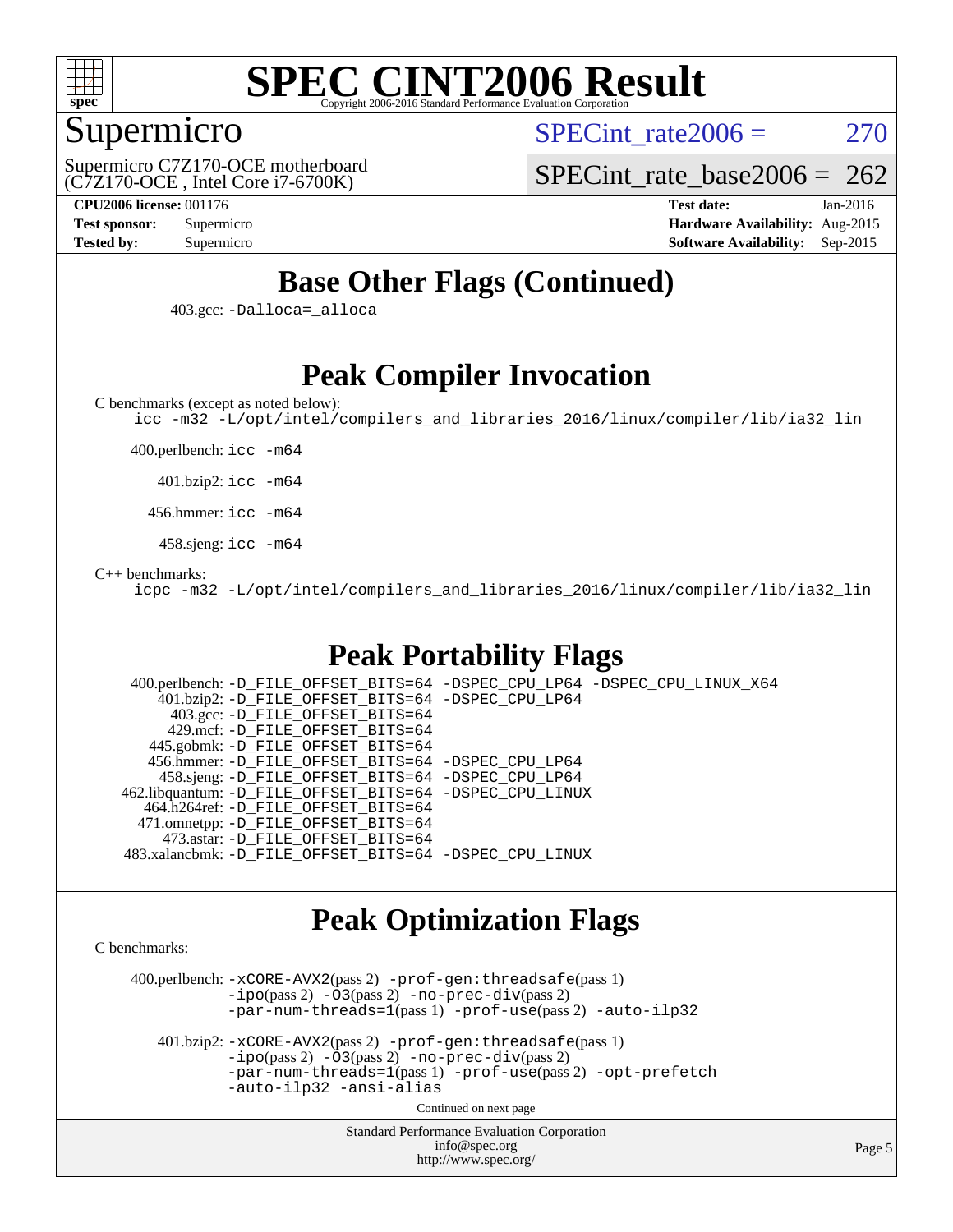

# Supermicro

SPECint rate $2006 = 270$ 

(C7Z170-OCE , Intel Core i7-6700K) Supermicro C7Z170-OCE motherboard [SPECint\\_rate\\_base2006 =](http://www.spec.org/auto/cpu2006/Docs/result-fields.html#SPECintratebase2006)  $262$ 

**[CPU2006 license:](http://www.spec.org/auto/cpu2006/Docs/result-fields.html#CPU2006license)** 001176 **[Test date:](http://www.spec.org/auto/cpu2006/Docs/result-fields.html#Testdate)** Jan-2016 **[Test sponsor:](http://www.spec.org/auto/cpu2006/Docs/result-fields.html#Testsponsor)** Supermicro **[Hardware Availability:](http://www.spec.org/auto/cpu2006/Docs/result-fields.html#HardwareAvailability)** Aug-2015 **[Tested by:](http://www.spec.org/auto/cpu2006/Docs/result-fields.html#Testedby)** Supermicro **[Software Availability:](http://www.spec.org/auto/cpu2006/Docs/result-fields.html#SoftwareAvailability)** Sep-2015

# **[Base Other Flags \(Continued\)](http://www.spec.org/auto/cpu2006/Docs/result-fields.html#BaseOtherFlags)**

403.gcc: [-Dalloca=\\_alloca](http://www.spec.org/cpu2006/results/res2016q1/cpu2006-20160108-38635.flags.html#b403.gcc_baseEXTRA_CFLAGS_Dalloca_be3056838c12de2578596ca5467af7f3)

# **[Peak Compiler Invocation](http://www.spec.org/auto/cpu2006/Docs/result-fields.html#PeakCompilerInvocation)**

[C benchmarks \(except as noted below\)](http://www.spec.org/auto/cpu2006/Docs/result-fields.html#Cbenchmarksexceptasnotedbelow):

[icc -m32 -L/opt/intel/compilers\\_and\\_libraries\\_2016/linux/compiler/lib/ia32\\_lin](http://www.spec.org/cpu2006/results/res2016q1/cpu2006-20160108-38635.flags.html#user_CCpeak_intel_icc_e10256ba5924b668798078a321b0cb3f)

400.perlbench: [icc -m64](http://www.spec.org/cpu2006/results/res2016q1/cpu2006-20160108-38635.flags.html#user_peakCCLD400_perlbench_intel_icc_64bit_bda6cc9af1fdbb0edc3795bac97ada53)

401.bzip2: [icc -m64](http://www.spec.org/cpu2006/results/res2016q1/cpu2006-20160108-38635.flags.html#user_peakCCLD401_bzip2_intel_icc_64bit_bda6cc9af1fdbb0edc3795bac97ada53)

456.hmmer: [icc -m64](http://www.spec.org/cpu2006/results/res2016q1/cpu2006-20160108-38635.flags.html#user_peakCCLD456_hmmer_intel_icc_64bit_bda6cc9af1fdbb0edc3795bac97ada53)

458.sjeng: [icc -m64](http://www.spec.org/cpu2006/results/res2016q1/cpu2006-20160108-38635.flags.html#user_peakCCLD458_sjeng_intel_icc_64bit_bda6cc9af1fdbb0edc3795bac97ada53)

#### [C++ benchmarks:](http://www.spec.org/auto/cpu2006/Docs/result-fields.html#CXXbenchmarks)

[icpc -m32 -L/opt/intel/compilers\\_and\\_libraries\\_2016/linux/compiler/lib/ia32\\_lin](http://www.spec.org/cpu2006/results/res2016q1/cpu2006-20160108-38635.flags.html#user_CXXpeak_intel_icpc_b4f50a394bdb4597aa5879c16bc3f5c5)

# **[Peak Portability Flags](http://www.spec.org/auto/cpu2006/Docs/result-fields.html#PeakPortabilityFlags)**

 400.perlbench: [-D\\_FILE\\_OFFSET\\_BITS=64](http://www.spec.org/cpu2006/results/res2016q1/cpu2006-20160108-38635.flags.html#user_peakPORTABILITY400_perlbench_file_offset_bits_64_438cf9856305ebd76870a2c6dc2689ab) [-DSPEC\\_CPU\\_LP64](http://www.spec.org/cpu2006/results/res2016q1/cpu2006-20160108-38635.flags.html#b400.perlbench_peakCPORTABILITY_DSPEC_CPU_LP64) [-DSPEC\\_CPU\\_LINUX\\_X64](http://www.spec.org/cpu2006/results/res2016q1/cpu2006-20160108-38635.flags.html#b400.perlbench_peakCPORTABILITY_DSPEC_CPU_LINUX_X64) 401.bzip2: [-D\\_FILE\\_OFFSET\\_BITS=64](http://www.spec.org/cpu2006/results/res2016q1/cpu2006-20160108-38635.flags.html#user_peakPORTABILITY401_bzip2_file_offset_bits_64_438cf9856305ebd76870a2c6dc2689ab) [-DSPEC\\_CPU\\_LP64](http://www.spec.org/cpu2006/results/res2016q1/cpu2006-20160108-38635.flags.html#suite_peakCPORTABILITY401_bzip2_DSPEC_CPU_LP64) 403.gcc: [-D\\_FILE\\_OFFSET\\_BITS=64](http://www.spec.org/cpu2006/results/res2016q1/cpu2006-20160108-38635.flags.html#user_peakPORTABILITY403_gcc_file_offset_bits_64_438cf9856305ebd76870a2c6dc2689ab) 429.mcf: [-D\\_FILE\\_OFFSET\\_BITS=64](http://www.spec.org/cpu2006/results/res2016q1/cpu2006-20160108-38635.flags.html#user_peakPORTABILITY429_mcf_file_offset_bits_64_438cf9856305ebd76870a2c6dc2689ab) 445.gobmk: [-D\\_FILE\\_OFFSET\\_BITS=64](http://www.spec.org/cpu2006/results/res2016q1/cpu2006-20160108-38635.flags.html#user_peakPORTABILITY445_gobmk_file_offset_bits_64_438cf9856305ebd76870a2c6dc2689ab) 456.hmmer: [-D\\_FILE\\_OFFSET\\_BITS=64](http://www.spec.org/cpu2006/results/res2016q1/cpu2006-20160108-38635.flags.html#user_peakPORTABILITY456_hmmer_file_offset_bits_64_438cf9856305ebd76870a2c6dc2689ab) [-DSPEC\\_CPU\\_LP64](http://www.spec.org/cpu2006/results/res2016q1/cpu2006-20160108-38635.flags.html#suite_peakCPORTABILITY456_hmmer_DSPEC_CPU_LP64) 458.sjeng: [-D\\_FILE\\_OFFSET\\_BITS=64](http://www.spec.org/cpu2006/results/res2016q1/cpu2006-20160108-38635.flags.html#user_peakPORTABILITY458_sjeng_file_offset_bits_64_438cf9856305ebd76870a2c6dc2689ab) [-DSPEC\\_CPU\\_LP64](http://www.spec.org/cpu2006/results/res2016q1/cpu2006-20160108-38635.flags.html#suite_peakCPORTABILITY458_sjeng_DSPEC_CPU_LP64) 462.libquantum: [-D\\_FILE\\_OFFSET\\_BITS=64](http://www.spec.org/cpu2006/results/res2016q1/cpu2006-20160108-38635.flags.html#user_peakPORTABILITY462_libquantum_file_offset_bits_64_438cf9856305ebd76870a2c6dc2689ab) [-DSPEC\\_CPU\\_LINUX](http://www.spec.org/cpu2006/results/res2016q1/cpu2006-20160108-38635.flags.html#b462.libquantum_peakCPORTABILITY_DSPEC_CPU_LINUX) 464.h264ref: [-D\\_FILE\\_OFFSET\\_BITS=64](http://www.spec.org/cpu2006/results/res2016q1/cpu2006-20160108-38635.flags.html#user_peakPORTABILITY464_h264ref_file_offset_bits_64_438cf9856305ebd76870a2c6dc2689ab) 471.omnetpp: [-D\\_FILE\\_OFFSET\\_BITS=64](http://www.spec.org/cpu2006/results/res2016q1/cpu2006-20160108-38635.flags.html#user_peakPORTABILITY471_omnetpp_file_offset_bits_64_438cf9856305ebd76870a2c6dc2689ab) 473.astar: [-D\\_FILE\\_OFFSET\\_BITS=64](http://www.spec.org/cpu2006/results/res2016q1/cpu2006-20160108-38635.flags.html#user_peakPORTABILITY473_astar_file_offset_bits_64_438cf9856305ebd76870a2c6dc2689ab) 483.xalancbmk: [-D\\_FILE\\_OFFSET\\_BITS=64](http://www.spec.org/cpu2006/results/res2016q1/cpu2006-20160108-38635.flags.html#user_peakPORTABILITY483_xalancbmk_file_offset_bits_64_438cf9856305ebd76870a2c6dc2689ab) [-DSPEC\\_CPU\\_LINUX](http://www.spec.org/cpu2006/results/res2016q1/cpu2006-20160108-38635.flags.html#b483.xalancbmk_peakCXXPORTABILITY_DSPEC_CPU_LINUX)

### **[Peak Optimization Flags](http://www.spec.org/auto/cpu2006/Docs/result-fields.html#PeakOptimizationFlags)**

[C benchmarks](http://www.spec.org/auto/cpu2006/Docs/result-fields.html#Cbenchmarks):

 400.perlbench: [-xCORE-AVX2](http://www.spec.org/cpu2006/results/res2016q1/cpu2006-20160108-38635.flags.html#user_peakPASS2_CFLAGSPASS2_LDCFLAGS400_perlbench_f-xAVX2_5f5fc0cbe2c9f62c816d3e45806c70d7)(pass 2) [-prof-gen:threadsafe](http://www.spec.org/cpu2006/results/res2016q1/cpu2006-20160108-38635.flags.html#user_peakPASS1_CFLAGSPASS1_LDCFLAGS400_perlbench_prof_gen_21a26eb79f378b550acd7bec9fe4467a)(pass 1)  $-i\text{po}(pass 2) -\tilde{O}3(pass 2)$  [-no-prec-div](http://www.spec.org/cpu2006/results/res2016q1/cpu2006-20160108-38635.flags.html#user_peakPASS2_CFLAGSPASS2_LDCFLAGS400_perlbench_f-no-prec-div)(pass 2) [-par-num-threads=1](http://www.spec.org/cpu2006/results/res2016q1/cpu2006-20160108-38635.flags.html#user_peakPASS1_CFLAGSPASS1_LDCFLAGS400_perlbench_par_num_threads_786a6ff141b4e9e90432e998842df6c2)(pass 1) [-prof-use](http://www.spec.org/cpu2006/results/res2016q1/cpu2006-20160108-38635.flags.html#user_peakPASS2_CFLAGSPASS2_LDCFLAGS400_perlbench_prof_use_bccf7792157ff70d64e32fe3e1250b55)(pass 2) [-auto-ilp32](http://www.spec.org/cpu2006/results/res2016q1/cpu2006-20160108-38635.flags.html#user_peakCOPTIMIZE400_perlbench_f-auto-ilp32)

 401.bzip2: [-xCORE-AVX2](http://www.spec.org/cpu2006/results/res2016q1/cpu2006-20160108-38635.flags.html#user_peakPASS2_CFLAGSPASS2_LDCFLAGS401_bzip2_f-xAVX2_5f5fc0cbe2c9f62c816d3e45806c70d7)(pass 2) [-prof-gen:threadsafe](http://www.spec.org/cpu2006/results/res2016q1/cpu2006-20160108-38635.flags.html#user_peakPASS1_CFLAGSPASS1_LDCFLAGS401_bzip2_prof_gen_21a26eb79f378b550acd7bec9fe4467a)(pass 1)  $-i\text{po}(pass 2) -\overline{O}3(pass 2)$  [-no-prec-div](http://www.spec.org/cpu2006/results/res2016q1/cpu2006-20160108-38635.flags.html#user_peakPASS2_CFLAGSPASS2_LDCFLAGS401_bzip2_f-no-prec-div)(pass 2) [-par-num-threads=1](http://www.spec.org/cpu2006/results/res2016q1/cpu2006-20160108-38635.flags.html#user_peakPASS1_CFLAGSPASS1_LDCFLAGS401_bzip2_par_num_threads_786a6ff141b4e9e90432e998842df6c2)(pass 1) [-prof-use](http://www.spec.org/cpu2006/results/res2016q1/cpu2006-20160108-38635.flags.html#user_peakPASS2_CFLAGSPASS2_LDCFLAGS401_bzip2_prof_use_bccf7792157ff70d64e32fe3e1250b55)(pass 2) [-opt-prefetch](http://www.spec.org/cpu2006/results/res2016q1/cpu2006-20160108-38635.flags.html#user_peakCOPTIMIZE401_bzip2_f-opt-prefetch) [-auto-ilp32](http://www.spec.org/cpu2006/results/res2016q1/cpu2006-20160108-38635.flags.html#user_peakCOPTIMIZE401_bzip2_f-auto-ilp32) [-ansi-alias](http://www.spec.org/cpu2006/results/res2016q1/cpu2006-20160108-38635.flags.html#user_peakCOPTIMIZE401_bzip2_f-ansi-alias)

Continued on next page

Standard Performance Evaluation Corporation [info@spec.org](mailto:info@spec.org) <http://www.spec.org/>

Page 5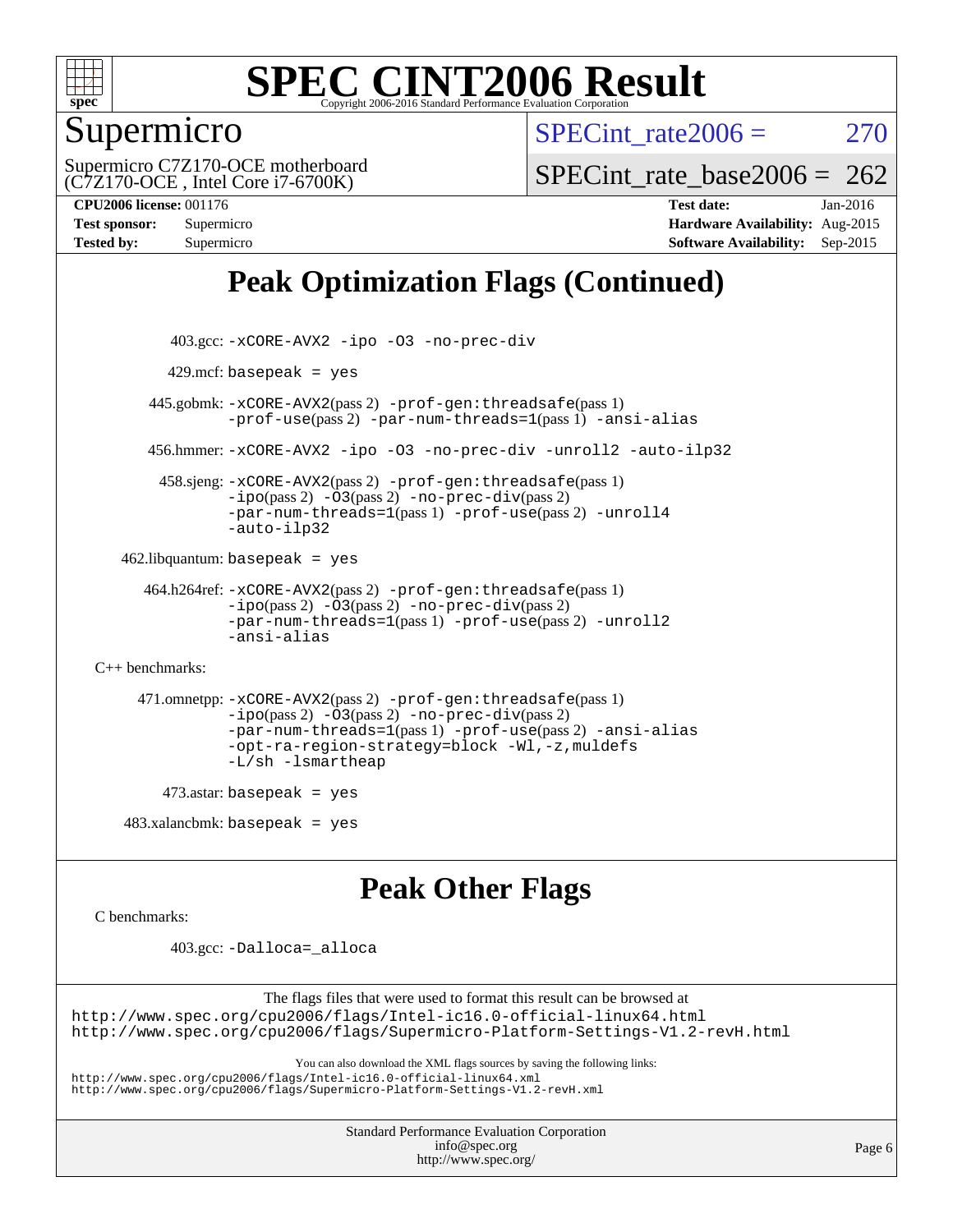

# Supermicro

SPECint rate $2006 = 270$ 

(C7Z170-OCE , Intel Core i7-6700K) Supermicro C7Z170-OCE motherboard

SPECint rate base2006 =  $262$ 

**[CPU2006 license:](http://www.spec.org/auto/cpu2006/Docs/result-fields.html#CPU2006license)** 001176 **[Test date:](http://www.spec.org/auto/cpu2006/Docs/result-fields.html#Testdate)** Jan-2016 **[Test sponsor:](http://www.spec.org/auto/cpu2006/Docs/result-fields.html#Testsponsor)** Supermicro **[Hardware Availability:](http://www.spec.org/auto/cpu2006/Docs/result-fields.html#HardwareAvailability)** Aug-2015 **[Tested by:](http://www.spec.org/auto/cpu2006/Docs/result-fields.html#Testedby)** Supermicro **[Software Availability:](http://www.spec.org/auto/cpu2006/Docs/result-fields.html#SoftwareAvailability)** Sep-2015

# **[Peak Optimization Flags \(Continued\)](http://www.spec.org/auto/cpu2006/Docs/result-fields.html#PeakOptimizationFlags)**

```
 403.gcc: -xCORE-AVX2 -ipo -O3 -no-prec-div
         429.mcf: basepeak = yes
       445.gobmk: -xCORE-AVX2(pass 2) -prof-gen:threadsafe(pass 1)
                -prof-use(pass 2) -par-num-threads=1(pass 1) -ansi-alias
       456.hmmer: -xCORE-AVX2 -ipo -O3 -no-prec-div -unroll2 -auto-ilp32
         458.sjeng: -xCORE-AVX2(pass 2) -prof-gen:threadsafe(pass 1)
                -i\text{po}(pass 2) -\ddot{o}3(pass 2)-no-prec-div(pass 2)
                -par-num-threads=1(pass 1) -prof-use(pass 2) -unroll4
                -auto-ilp32
   462.libquantum: basepeak = yes
      464.h264ref: -xCORE-AVX2(pass 2) -prof-gen:threadsafe(pass 1)
                -ipo(pass 2) -O3(pass 2) -no-prec-div(pass 2)
                -par-num-threads=1(pass 1) -prof-use(pass 2) -unroll2
                -ansi-alias
C++ benchmarks: 
      471.omnetpp: -xCORE-AVX2(pass 2) -prof-gen:threadsafe(pass 1)
                -ipo(pass 2) -O3(pass 2) -no-prec-div(pass 2)
                -par-num-threads=1(pass 1) -prof-use(pass 2) -ansi-alias
                -opt-ra-region-strategy=block -Wl,-z,muldefs
                -L/sh -lsmartheap
         473.astar: basepeak = yes
   483.xalanchmk: basepeak = yesPeak Other Flags
C benchmarks:
```
403.gcc: [-Dalloca=\\_alloca](http://www.spec.org/cpu2006/results/res2016q1/cpu2006-20160108-38635.flags.html#b403.gcc_peakEXTRA_CFLAGS_Dalloca_be3056838c12de2578596ca5467af7f3)

The flags files that were used to format this result can be browsed at <http://www.spec.org/cpu2006/flags/Intel-ic16.0-official-linux64.html> <http://www.spec.org/cpu2006/flags/Supermicro-Platform-Settings-V1.2-revH.html>

You can also download the XML flags sources by saving the following links:

<http://www.spec.org/cpu2006/flags/Intel-ic16.0-official-linux64.xml>

<http://www.spec.org/cpu2006/flags/Supermicro-Platform-Settings-V1.2-revH.xml>

Standard Performance Evaluation Corporation [info@spec.org](mailto:info@spec.org) <http://www.spec.org/>

Page 6